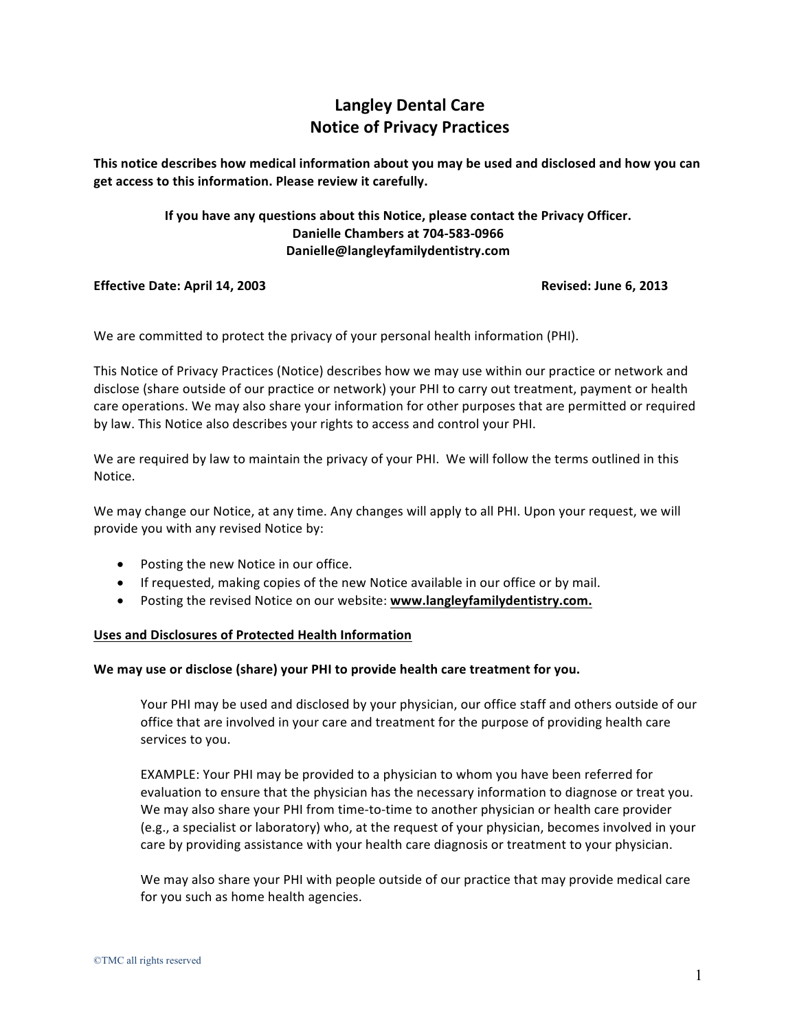# **Langley Dental Care Notice of Privacy Practices**

This notice describes how medical information about you may be used and disclosed and how you can get access to this information. Please review it carefully.

# **If you have any questions about this Notice, please contact the Privacy Officer. Danielle Chambers at 704-583-0966 Danielle@langleyfamilydentistry.com**

## **Effective Date: April 14, 2003 Revised: June 6, 2013**

We are committed to protect the privacy of your personal health information (PHI).

This Notice of Privacy Practices (Notice) describes how we may use within our practice or network and disclose (share outside of our practice or network) your PHI to carry out treatment, payment or health care operations. We may also share your information for other purposes that are permitted or required by law. This Notice also describes your rights to access and control your PHI.

We are required by law to maintain the privacy of your PHI. We will follow the terms outlined in this Notice. 

We may change our Notice, at any time. Any changes will apply to all PHI. Upon your request, we will provide you with any revised Notice by:

- Posting the new Notice in our office.
- If requested, making copies of the new Notice available in our office or by mail.
- **•** Posting the revised Notice on our website: www.langleyfamilydentistry.com.

## Uses and Disclosures of Protected Health Information

## We may use or disclose (share) your PHI to provide health care treatment for you.

Your PHI may be used and disclosed by your physician, our office staff and others outside of our office that are involved in your care and treatment for the purpose of providing health care services to you.

EXAMPLE: Your PHI may be provided to a physician to whom you have been referred for evaluation to ensure that the physician has the necessary information to diagnose or treat you. We may also share your PHI from time-to-time to another physician or health care provider  $(e.g., a specialist or laboratory)$  who, at the request of your physician, becomes involved in your care by providing assistance with your health care diagnosis or treatment to your physician.

We may also share your PHI with people outside of our practice that may provide medical care for you such as home health agencies.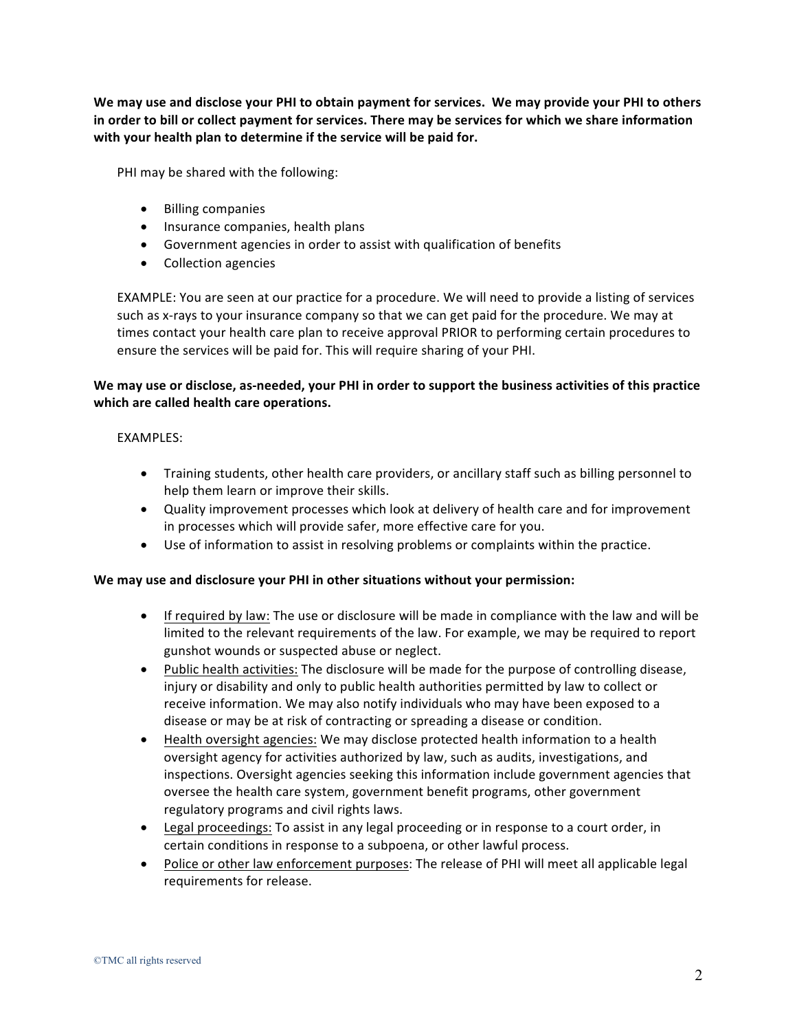We may use and disclose your PHI to obtain payment for services. We may provide your PHI to others in order to bill or collect payment for services. There may be services for which we share information with your health plan to determine if the service will be paid for.

PHI may be shared with the following:

- Billing companies
- Insurance companies, health plans
- Government agencies in order to assist with qualification of benefits
- Collection agencies

EXAMPLE: You are seen at our practice for a procedure. We will need to provide a listing of services such as x-rays to your insurance company so that we can get paid for the procedure. We may at times contact your health care plan to receive approval PRIOR to performing certain procedures to ensure the services will be paid for. This will require sharing of your PHI.

# We may use or disclose, as-needed, your PHI in order to support the business activities of this practice which are called health care operations.

## EXAMPLES:

- Training students, other health care providers, or ancillary staff such as billing personnel to help them learn or improve their skills.
- Quality improvement processes which look at delivery of health care and for improvement in processes which will provide safer, more effective care for you.
- Use of information to assist in resolving problems or complaints within the practice.

## We may use and disclosure your PHI in other situations without your permission:

- If required by law: The use or disclosure will be made in compliance with the law and will be limited to the relevant requirements of the law. For example, we may be required to report gunshot wounds or suspected abuse or neglect.
- Public health activities: The disclosure will be made for the purpose of controlling disease, injury or disability and only to public health authorities permitted by law to collect or receive information. We may also notify individuals who may have been exposed to a disease or may be at risk of contracting or spreading a disease or condition.
- Health oversight agencies: We may disclose protected health information to a health oversight agency for activities authorized by law, such as audits, investigations, and inspections. Oversight agencies seeking this information include government agencies that oversee the health care system, government benefit programs, other government regulatory programs and civil rights laws.
- Legal proceedings: To assist in any legal proceeding or in response to a court order, in certain conditions in response to a subpoena, or other lawful process.
- Police or other law enforcement purposes: The release of PHI will meet all applicable legal requirements for release.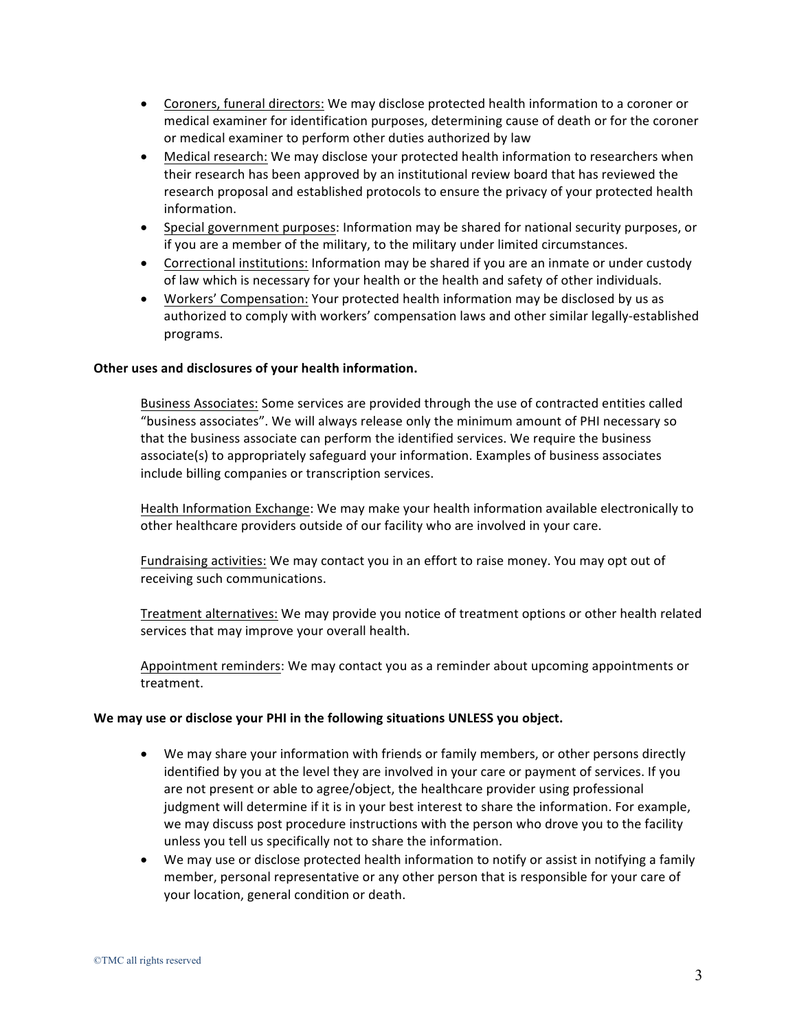- Coroners, funeral directors: We may disclose protected health information to a coroner or medical examiner for identification purposes, determining cause of death or for the coroner or medical examiner to perform other duties authorized by law
- Medical research: We may disclose your protected health information to researchers when their research has been approved by an institutional review board that has reviewed the research proposal and established protocols to ensure the privacy of your protected health information.
- Special government purposes: Information may be shared for national security purposes, or if you are a member of the military, to the military under limited circumstances.
- Correctional institutions: Information may be shared if you are an inmate or under custody of law which is necessary for your health or the health and safety of other individuals.
- Workers' Compensation: Your protected health information may be disclosed by us as authorized to comply with workers' compensation laws and other similar legally-established programs.

## **Other uses and disclosures of your health information.**

Business Associates: Some services are provided through the use of contracted entities called "business associates". We will always release only the minimum amount of PHI necessary so that the business associate can perform the identified services. We require the business associate(s) to appropriately safeguard your information. Examples of business associates include billing companies or transcription services.

Health Information Exchange: We may make your health information available electronically to other healthcare providers outside of our facility who are involved in your care.

Fundraising activities: We may contact you in an effort to raise money. You may opt out of receiving such communications.

Treatment alternatives: We may provide you notice of treatment options or other health related services that may improve your overall health.

Appointment reminders: We may contact you as a reminder about upcoming appointments or treatment. 

## We may use or disclose your PHI in the following situations UNLESS you object.

- We may share your information with friends or family members, or other persons directly identified by you at the level they are involved in your care or payment of services. If you are not present or able to agree/object, the healthcare provider using professional judgment will determine if it is in your best interest to share the information. For example, we may discuss post procedure instructions with the person who drove you to the facility unless you tell us specifically not to share the information.
- We may use or disclose protected health information to notify or assist in notifying a family member, personal representative or any other person that is responsible for your care of your location, general condition or death.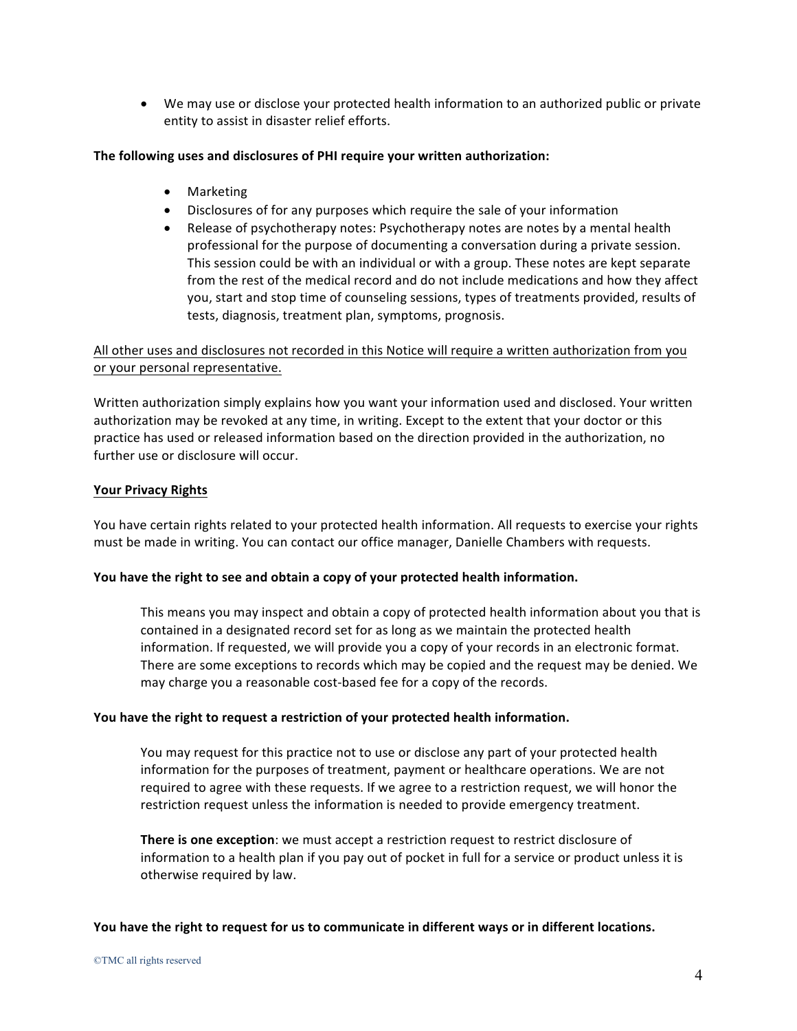• We may use or disclose your protected health information to an authorized public or private entity to assist in disaster relief efforts.

## The following uses and disclosures of PHI require your written authorization:

- Marketing
- Disclosures of for any purposes which require the sale of your information
- Release of psychotherapy notes: Psychotherapy notes are notes by a mental health professional for the purpose of documenting a conversation during a private session. This session could be with an individual or with a group. These notes are kept separate from the rest of the medical record and do not include medications and how they affect you, start and stop time of counseling sessions, types of treatments provided, results of tests, diagnosis, treatment plan, symptoms, prognosis.

# All other uses and disclosures not recorded in this Notice will require a written authorization from you or your personal representative.

Written authorization simply explains how you want your information used and disclosed. Your written authorization may be revoked at any time, in writing. Except to the extent that your doctor or this practice has used or released information based on the direction provided in the authorization, no further use or disclosure will occur.

# **Your Privacy Rights**

You have certain rights related to your protected health information. All requests to exercise your rights must be made in writing. You can contact our office manager, Danielle Chambers with requests.

# You have the right to see and obtain a copy of your protected health information.

This means you may inspect and obtain a copy of protected health information about you that is contained in a designated record set for as long as we maintain the protected health information. If requested, we will provide you a copy of your records in an electronic format. There are some exceptions to records which may be copied and the request may be denied. We may charge you a reasonable cost-based fee for a copy of the records.

## **You** have the right to request a restriction of your protected health information.

You may request for this practice not to use or disclose any part of your protected health information for the purposes of treatment, payment or healthcare operations. We are not required to agree with these requests. If we agree to a restriction request, we will honor the restriction request unless the information is needed to provide emergency treatment.

**There is one exception**: we must accept a restriction request to restrict disclosure of information to a health plan if you pay out of pocket in full for a service or product unless it is otherwise required by law.

You have the right to request for us to communicate in different ways or in different locations.